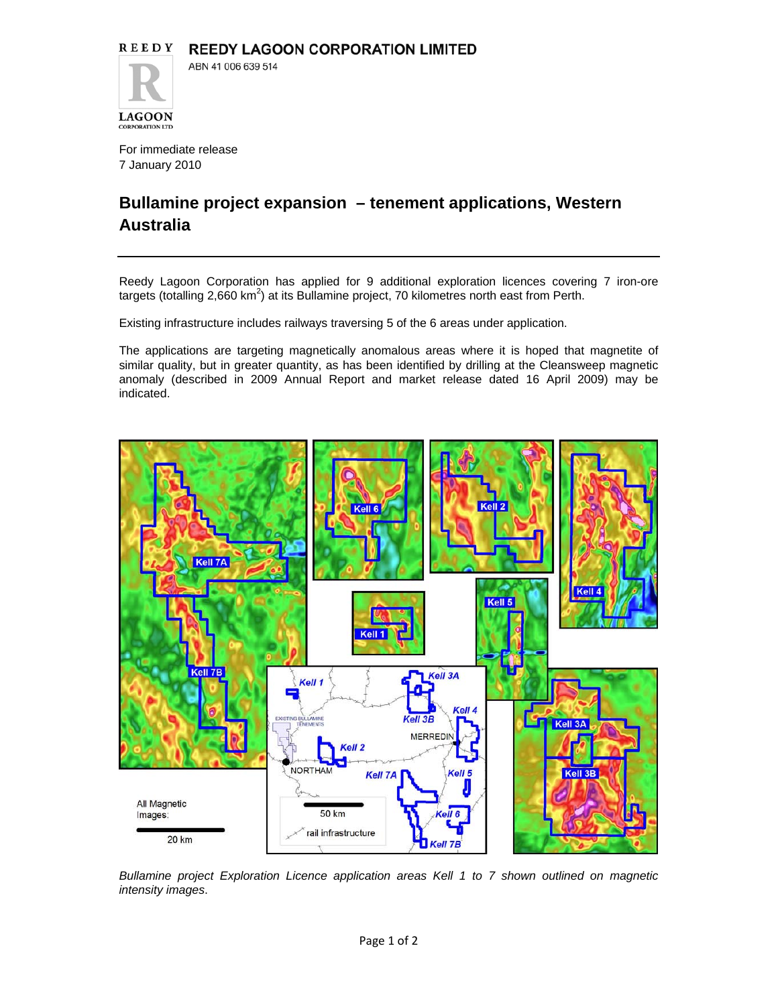For immediate release 7 January 2010

**LAGOON CORPORATION LTD** 

## **Bullamine project expansion – tenement applications, Western Australia**

Reedy Lagoon Corporation has applied for 9 additional exploration licences covering 7 iron-ore targets (totalling 2,660 km<sup>2</sup>) at its Bullamine project, 70 kilometres north east from Perth.

Existing infrastructure includes railways traversing 5 of the 6 areas under application.

The applications are targeting magnetically anomalous areas where it is hoped that magnetite of similar quality, but in greater quantity, as has been identified by drilling at the Cleansweep magnetic anomaly (described in 2009 Annual Report and market release dated 16 April 2009) may be indicated.



*Bullamine project Exploration Licence application areas Kell 1 to 7 shown outlined on magnetic intensity images*.